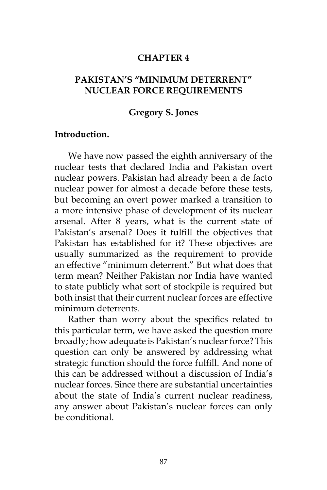### **CHAPTER 4**

## **PAKISTAN'S "MINIMUM DETERRENT" NUCLEAR FORCE REQUIREMENTS**

### **Gregory S. Jones**

#### **Introduction.**

We have now passed the eighth anniversary of the nuclear tests that declared India and Pakistan overt nuclear powers. Pakistan had already been a de facto nuclear power for almost a decade before these tests, but becoming an overt power marked a transition to a more intensive phase of development of its nuclear arsenal. After 8 years, what is the current state of Pakistan's arsenal? Does it fulfill the objectives that Pakistan has established for it? These objectives are usually summarized as the requirement to provide an effective "minimum deterrent." But what does that term mean? Neither Pakistan nor India have wanted to state publicly what sort of stockpile is required but both insist that their current nuclear forces are effective minimum deterrents.

Rather than worry about the specifics related to this particular term, we have asked the question more broadly; how adequate is Pakistan's nuclear force? This question can only be answered by addressing what strategic function should the force fulfill. And none of this can be addressed without a discussion of India's nuclear forces. Since there are substantial uncertainties about the state of India's current nuclear readiness, any answer about Pakistan's nuclear forces can only be conditional.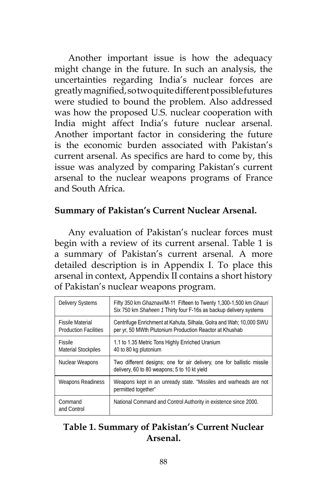Another important issue is how the adequacy might change in the future. In such an analysis, the uncertainties regarding India's nuclear forces are greatly magnified, so two quite different possible futures were studied to bound the problem. Also addressed was how the proposed U.S. nuclear cooperation with India might affect India's future nuclear arsenal. Another important factor in considering the future is the economic burden associated with Pakistan's current arsenal. As specifics are hard to come by, this issue was analyzed by comparing Pakistan's current arsenal to the nuclear weapons programs of France and South Africa.

## **Summary of Pakistan's Current Nuclear Arsenal.**

Any evaluation of Pakistan's nuclear forces must begin with a review of its current arsenal. Table 1 is a summary of Pakistan's current arsenal. A more detailed description is in Appendix I. To place this arsenal in context, Appendix II contains a short history of Pakistan's nuclear weapons program.

| <b>Delivery Systems</b>                                 | Fifty 350 km Ghaznavi/M-11 Fifteen to Twenty 1,300-1,500 km Ghauri<br>Six 750 km Shaheen 1 Thirty four F-16s as backup delivery systems |  |
|---------------------------------------------------------|-----------------------------------------------------------------------------------------------------------------------------------------|--|
| <b>Fissile Material</b><br><b>Production Facilities</b> | Centrifuge Enrichment at Kahuta, Silhala, Golra and Wah; 10,000 SWU<br>per yr, 50 MWth Plutonium Production Reactor at Khushab          |  |
| Fissile<br><b>Material Stockpiles</b>                   | 1.1 to 1.35 Metric Tons Highly Enriched Uranium<br>40 to 80 kg plutonium                                                                |  |
| Nuclear Weapons                                         | Two different designs; one for air delivery, one for ballistic missile<br>delivery, 60 to 80 weapons: 5 to 10 kt yield                  |  |
| Weapons Readiness                                       | Weapons kept in an unready state. "Missiles and warheads are not<br>permitted together"                                                 |  |
| Command<br>and Control                                  | National Command and Control Authority in existence since 2000.                                                                         |  |

# **Table 1. Summary of Pakistan's Current Nuclear Arsenal.**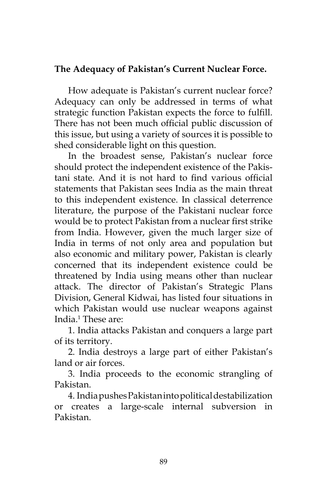# **The Adequacy of Pakistan's Current Nuclear Force.**

How adequate is Pakistan's current nuclear force? Adequacy can only be addressed in terms of what strategic function Pakistan expects the force to fulfill. There has not been much official public discussion of this issue, but using a variety of sources it is possible to shed considerable light on this question.

In the broadest sense, Pakistan's nuclear force should protect the independent existence of the Pakistani state. And it is not hard to find various official statements that Pakistan sees India as the main threat to this independent existence. In classical deterrence literature, the purpose of the Pakistani nuclear force would be to protect Pakistan from a nuclear first strike from India. However, given the much larger size of India in terms of not only area and population but also economic and military power, Pakistan is clearly concerned that its independent existence could be threatened by India using means other than nuclear attack. The director of Pakistan's Strategic Plans Division, General Kidwai, has listed four situations in which Pakistan would use nuclear weapons against India.1 These are:

1. India attacks Pakistan and conquers a large part of its territory.

2. India destroys a large part of either Pakistan's land or air forces.

3. India proceeds to the economic strangling of Pakistan.

4. India pushes Pakistan into political destabilization or creates a large-scale internal subversion in Pakistan.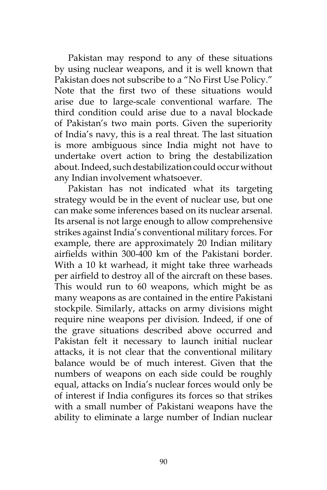Pakistan may respond to any of these situations by using nuclear weapons, and it is well known that Pakistan does not subscribe to a "No First Use Policy." Note that the first two of these situations would arise due to large-scale conventional warfare. The third condition could arise due to a naval blockade of Pakistan's two main ports. Given the superiority of India's navy, this is a real threat. The last situation is more ambiguous since India might not have to undertake overt action to bring the destabilization about. Indeed, such destabilization could occur without any Indian involvement whatsoever.

Pakistan has not indicated what its targeting strategy would be in the event of nuclear use, but one can make some inferences based on its nuclear arsenal. Its arsenal is not large enough to allow comprehensive strikes against India's conventional military forces. For example, there are approximately 20 Indian military airfields within 300-400 km of the Pakistani border. With a 10 kt warhead, it might take three warheads per airfield to destroy all of the aircraft on these bases. This would run to 60 weapons, which might be as many weapons as are contained in the entire Pakistani stockpile. Similarly, attacks on army divisions might require nine weapons per division. Indeed, if one of the grave situations described above occurred and Pakistan felt it necessary to launch initial nuclear attacks, it is not clear that the conventional military balance would be of much interest. Given that the numbers of weapons on each side could be roughly equal, attacks on India's nuclear forces would only be of interest if India configures its forces so that strikes with a small number of Pakistani weapons have the ability to eliminate a large number of Indian nuclear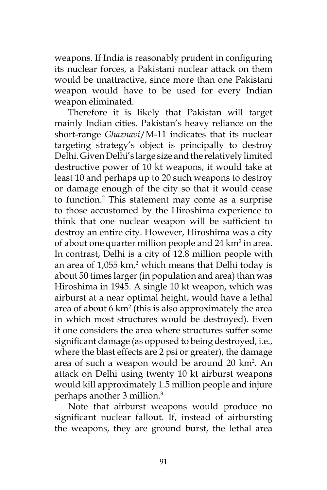weapons. If India is reasonably prudent in configuring its nuclear forces, a Pakistani nuclear attack on them would be unattractive, since more than one Pakistani weapon would have to be used for every Indian weapon eliminated.

Therefore it is likely that Pakistan will target mainly Indian cities. Pakistan's heavy reliance on the short-range *Ghaznavi*/M-11 indicates that its nuclear targeting strategy's object is principally to destroy Delhi. Given Delhi's large size and the relatively limited destructive power of 10 kt weapons, it would take at least 10 and perhaps up to 20 such weapons to destroy or damage enough of the city so that it would cease to function.2 This statement may come as a surprise to those accustomed by the Hiroshima experience to think that one nuclear weapon will be sufficient to destroy an entire city. However, Hiroshima was a city of about one quarter million people and  $24 \mathrm{ km}^2$  in area. In contrast, Delhi is a city of 12.8 million people with an area of  $1,055$  km,<sup>2</sup> which means that Delhi today is about 50 times larger (in population and area) than was Hiroshima in 1945. A single 10 kt weapon, which was airburst at a near optimal height, would have a lethal area of about 6 km2 (this is also approximately the area in which most structures would be destroyed). Even if one considers the area where structures suffer some significant damage (as opposed to being destroyed, i.e., where the blast effects are 2 psi or greater), the damage area of such a weapon would be around 20 km<sup>2</sup>. An attack on Delhi using twenty 10 kt airburst weapons would kill approximately 1.5 million people and injure perhaps another 3 million.3

Note that airburst weapons would produce no significant nuclear fallout. If, instead of airbursting the weapons, they are ground burst, the lethal area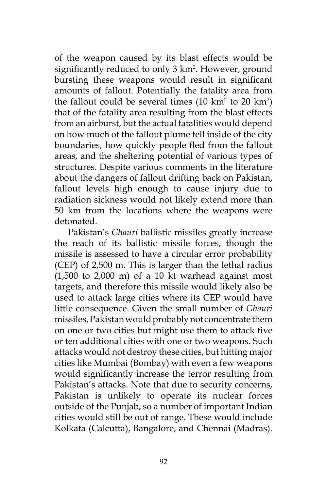of the weapon caused by its blast effects would be significantly reduced to only 3 km<sup>2</sup>. However, ground bursting these weapons would result in significant amounts of fallout. Potentially the fatality area from the fallout could be several times  $(10 \text{ km}^2 \text{ to } 20 \text{ km}^2)$ that of the fatality area resulting from the blast effects from an airburst, but the actual fatalities would depend on how much of the fallout plume fell inside of the city boundaries, how quickly people fled from the fallout areas, and the sheltering potential of various types of structures. Despite various comments in the literature about the dangers of fallout drifting back on Pakistan, fallout levels high enough to cause injury due to radiation sickness would not likely extend more than 50 km from the locations where the weapons were detonated.

Pakistan's *Ghauri* ballistic missiles greatly increase the reach of its ballistic missile forces, though the missile is assessed to have a circular error probability (CEP) of 2,500 m. This is larger than the lethal radius  $(1,500 \text{ to } 2,000 \text{ m})$  of a 10 kt warhead against most targets, and therefore this missile would likely also be used to attack large cities where its CEP would have little consequence. Given the small number of *Ghauri* missiles, Pakistan would probably not concentrate them on one or two cities but might use them to attack five or ten additional cities with one or two weapons. Such attacks would not destroy these cities, but hitting major cities like Mumbai (Bombay) with even a few weapons would significantly increase the terror resulting from Pakistan's attacks. Note that due to security concerns, Pakistan is unlikely to operate its nuclear forces outside of the Punjab, so a number of important Indian cities would still be out of range. These would include Kolkata (Calcutta), Bangalore, and Chennai (Madras).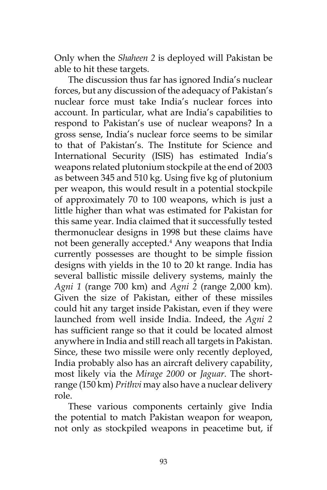Only when the *Shaheen 2* is deployed will Pakistan be able to hit these targets.

The discussion thus far has ignored India's nuclear forces, but any discussion of the adequacy of Pakistan's nuclear force must take India's nuclear forces into account. In particular, what are India's capabilities to respond to Pakistan's use of nuclear weapons? In a gross sense, India's nuclear force seems to be similar to that of Pakistan's. The Institute for Science and International Security (ISIS) has estimated India's weapons related plutonium stockpile at the end of 2003 as between 345 and 510 kg. Using five kg of plutonium per weapon, this would result in a potential stockpile of approximately 70 to 100 weapons, which is just a little higher than what was estimated for Pakistan for this same year. India claimed that it successfully tested thermonuclear designs in 1998 but these claims have not been generally accepted.4 Any weapons that India currently possesses are thought to be simple fission designs with yields in the 10 to 20 kt range. India has several ballistic missile delivery systems, mainly the *Agni 1* (range 700 km) and *Agni 2* (range 2,000 km). Given the size of Pakistan, either of these missiles could hit any target inside Pakistan, even if they were launched from well inside India. Indeed, the *Agni 2* has sufficient range so that it could be located almost anywhere in India and still reach all targets in Pakistan. Since, these two missile were only recently deployed, India probably also has an aircraft delivery capability, most likely via the *Mirage 2000* or *Jaguar*. The shortrange (150 km) *Prithvi* may also have a nuclear delivery role.

These various components certainly give India the potential to match Pakistan weapon for weapon, not only as stockpiled weapons in peacetime but, if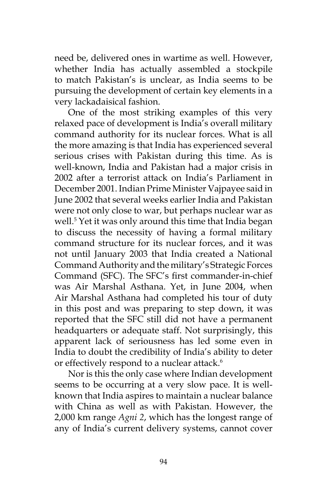need be, delivered ones in wartime as well. However, whether India has actually assembled a stockpile to match Pakistan's is unclear, as India seems to be pursuing the development of certain key elements in a very lackadaisical fashion.

One of the most striking examples of this very relaxed pace of development is India's overall military command authority for its nuclear forces. What is all the more amazing is that India has experienced several serious crises with Pakistan during this time. As is well-known, India and Pakistan had a major crisis in 2002 after a terrorist attack on India's Parliament in December 2001. Indian Prime Minister Vajpayee said in June 2002 that several weeks earlier India and Pakistan were not only close to war, but perhaps nuclear war as well.5 Yet it was only around this time that India began to discuss the necessity of having a formal military command structure for its nuclear forces, and it was not until January 2003 that India created a National Command Authority and the military's Strategic Forces Command (SFC). The SFC's first commander-in-chief was Air Marshal Asthana. Yet, in June 2004, when Air Marshal Asthana had completed his tour of duty in this post and was preparing to step down, it was reported that the SFC still did not have a permanent headquarters or adequate staff. Not surprisingly, this apparent lack of seriousness has led some even in India to doubt the credibility of India's ability to deter or effectively respond to a nuclear attack.<sup>6</sup>

Nor is this the only case where Indian development seems to be occurring at a very slow pace. It is wellknown that India aspires to maintain a nuclear balance with China as well as with Pakistan. However, the 2,000 km range *Agni 2*, which has the longest range of any of India's current delivery systems, cannot cover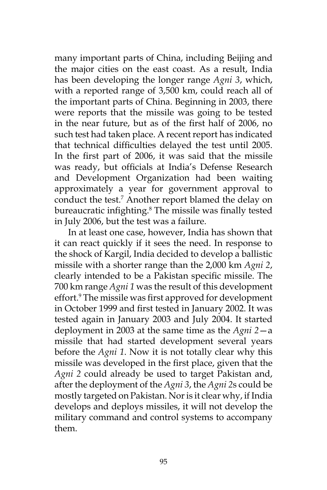many important parts of China, including Beijing and the major cities on the east coast. As a result, India has been developing the longer range *Agni 3*, which, with a reported range of 3,500 km, could reach all of the important parts of China. Beginning in 2003, there were reports that the missile was going to be tested in the near future, but as of the first half of 2006, no such test had taken place. A recent report has indicated that technical difficulties delayed the test until 2005. In the first part of 2006, it was said that the missile was ready, but officials at India's Defense Research and Development Organization had been waiting approximately a year for government approval to conduct the test.7 Another report blamed the delay on bureaucratic infighting.<sup>8</sup> The missile was finally tested in July 2006, but the test was a failure.

In at least one case, however, India has shown that it can react quickly if it sees the need. In response to the shock of Kargil, India decided to develop a ballistic missile with a shorter range than the 2,000 km *Agni 2*, clearly intended to be a Pakistan specific missile. The 700 km range *Agni 1* was the result of this development effort.<sup>9</sup> The missile was first approved for development in October 1999 and first tested in January 2002. It was tested again in January 2003 and July 2004. It started deployment in 2003 at the same time as the *Agni 2*—a missile that had started development several years before the *Agni 1*. Now it is not totally clear why this missile was developed in the first place, given that the *Agni 2* could already be used to target Pakistan and, after the deployment of the *Agni 3*, the *Agni 2*s could be mostly targeted on Pakistan. Nor is it clear why, if India develops and deploys missiles, it will not develop the military command and control systems to accompany them.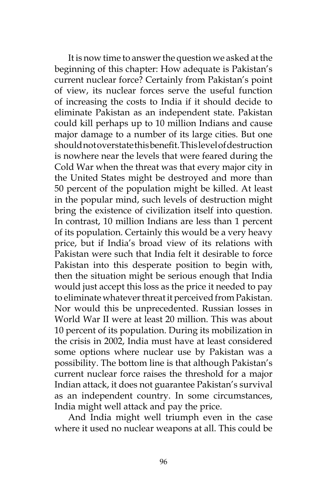It is now time to answer the question we asked at the beginning of this chapter: How adequate is Pakistan's current nuclear force? Certainly from Pakistan's point of view, its nuclear forces serve the useful function of increasing the costs to India if it should decide to eliminate Pakistan as an independent state. Pakistan could kill perhaps up to 10 million Indians and cause major damage to a number of its large cities. But one should not overstate this benefit. This level of destruction is nowhere near the levels that were feared during the Cold War when the threat was that every major city in the United States might be destroyed and more than 50 percent of the population might be killed. At least in the popular mind, such levels of destruction might bring the existence of civilization itself into question. In contrast, 10 million Indians are less than 1 percent of its population. Certainly this would be a very heavy price, but if India's broad view of its relations with Pakistan were such that India felt it desirable to force Pakistan into this desperate position to begin with, then the situation might be serious enough that India would just accept this loss as the price it needed to pay to eliminate whatever threat it perceived from Pakistan. Nor would this be unprecedented. Russian losses in World War II were at least 20 million. This was about 10 percent of its population. During its mobilization in the crisis in 2002, India must have at least considered some options where nuclear use by Pakistan was a possibility. The bottom line is that although Pakistan's current nuclear force raises the threshold for a major Indian attack, it does not guarantee Pakistan's survival as an independent country. In some circumstances, India might well attack and pay the price.

And India might well triumph even in the case where it used no nuclear weapons at all. This could be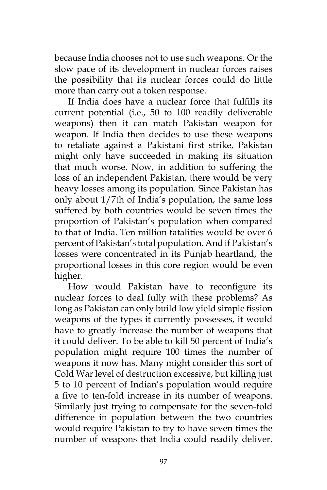because India chooses not to use such weapons. Or the slow pace of its development in nuclear forces raises the possibility that its nuclear forces could do little more than carry out a token response.

If India does have a nuclear force that fulfills its current potential (i.e., 50 to 100 readily deliverable weapons) then it can match Pakistan weapon for weapon. If India then decides to use these weapons to retaliate against a Pakistani first strike, Pakistan might only have succeeded in making its situation that much worse. Now, in addition to suffering the loss of an independent Pakistan, there would be very heavy losses among its population. Since Pakistan has only about 1/7th of India's population, the same loss suffered by both countries would be seven times the proportion of Pakistan's population when compared to that of India. Ten million fatalities would be over 6 percent of Pakistan's total population. And if Pakistan's losses were concentrated in its Punjab heartland, the proportional losses in this core region would be even higher.

How would Pakistan have to reconfigure its nuclear forces to deal fully with these problems? As long as Pakistan can only build low yield simple fission weapons of the types it currently possesses, it would have to greatly increase the number of weapons that it could deliver. To be able to kill 50 percent of India's population might require 100 times the number of weapons it now has. Many might consider this sort of Cold War level of destruction excessive, but killing just 5 to 10 percent of Indian's population would require a five to ten-fold increase in its number of weapons. Similarly just trying to compensate for the seven-fold difference in population between the two countries would require Pakistan to try to have seven times the number of weapons that India could readily deliver.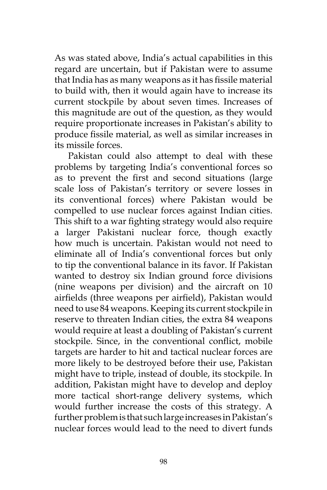As was stated above, India's actual capabilities in this regard are uncertain, but if Pakistan were to assume that India has as many weapons as it has fissile material to build with, then it would again have to increase its current stockpile by about seven times. Increases of this magnitude are out of the question, as they would require proportionate increases in Pakistan's ability to produce fissile material, as well as similar increases in its missile forces.

Pakistan could also attempt to deal with these problems by targeting India's conventional forces so as to prevent the first and second situations (large scale loss of Pakistan's territory or severe losses in its conventional forces) where Pakistan would be compelled to use nuclear forces against Indian cities. This shift to a war fighting strategy would also require a larger Pakistani nuclear force, though exactly how much is uncertain. Pakistan would not need to eliminate all of India's conventional forces but only to tip the conventional balance in its favor. If Pakistan wanted to destroy six Indian ground force divisions (nine weapons per division) and the aircraft on 10 airfields (three weapons per airfield), Pakistan would need to use 84 weapons. Keeping its current stockpile in reserve to threaten Indian cities, the extra 84 weapons would require at least a doubling of Pakistan's current stockpile. Since, in the conventional conflict, mobile targets are harder to hit and tactical nuclear forces are more likely to be destroyed before their use, Pakistan might have to triple, instead of double, its stockpile. In addition, Pakistan might have to develop and deploy more tactical short-range delivery systems, which would further increase the costs of this strategy. A further problem is that such large increases in Pakistan's nuclear forces would lead to the need to divert funds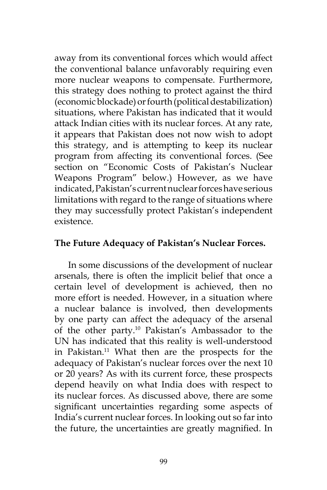away from its conventional forces which would affect the conventional balance unfavorably requiring even more nuclear weapons to compensate. Furthermore, this strategy does nothing to protect against the third (economic blockade) or fourth (political destabilization) situations, where Pakistan has indicated that it would attack Indian cities with its nuclear forces. At any rate, it appears that Pakistan does not now wish to adopt this strategy, and is attempting to keep its nuclear program from affecting its conventional forces. (See section on "Economic Costs of Pakistan's Nuclear Weapons Program" below.) However, as we have indicated, Pakistan's current nuclear forces have serious limitations with regard to the range of situations where they may successfully protect Pakistan's independent existence.

## **The Future Adequacy of Pakistan's Nuclear Forces.**

In some discussions of the development of nuclear arsenals, there is often the implicit belief that once a certain level of development is achieved, then no more effort is needed. However, in a situation where a nuclear balance is involved, then developments by one party can affect the adequacy of the arsenal of the other party.10 Pakistan's Ambassador to the UN has indicated that this reality is well-understood in Pakistan.<sup>11</sup> What then are the prospects for the adequacy of Pakistan's nuclear forces over the next 10 or 20 years? As with its current force, these prospects depend heavily on what India does with respect to its nuclear forces. As discussed above, there are some significant uncertainties regarding some aspects of India's current nuclear forces. In looking out so far into the future, the uncertainties are greatly magnified. In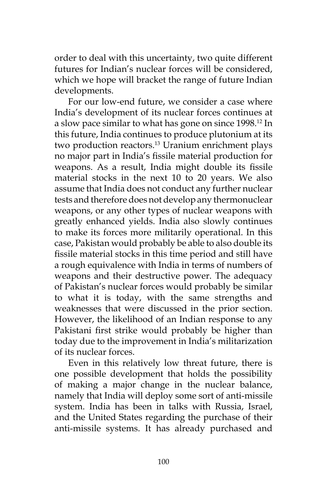order to deal with this uncertainty, two quite different futures for Indian's nuclear forces will be considered, which we hope will bracket the range of future Indian developments.

For our low-end future, we consider a case where India's development of its nuclear forces continues at a slow pace similar to what has gone on since 1998.<sup>12</sup> In this future, India continues to produce plutonium at its two production reactors.<sup>13</sup> Uranium enrichment plays no major part in India's fissile material production for weapons. As a result, India might double its fissile material stocks in the next 10 to 20 years. We also assume that India does not conduct any further nuclear tests and therefore does not develop any thermonuclear weapons, or any other types of nuclear weapons with greatly enhanced yields. India also slowly continues to make its forces more militarily operational. In this case, Pakistan would probably be able to also double its fissile material stocks in this time period and still have a rough equivalence with India in terms of numbers of weapons and their destructive power. The adequacy of Pakistan's nuclear forces would probably be similar to what it is today, with the same strengths and weaknesses that were discussed in the prior section. However, the likelihood of an Indian response to any Pakistani first strike would probably be higher than today due to the improvement in India's militarization of its nuclear forces.

Even in this relatively low threat future, there is one possible development that holds the possibility of making a major change in the nuclear balance, namely that India will deploy some sort of anti-missile system. India has been in talks with Russia, Israel, and the United States regarding the purchase of their anti-missile systems. It has already purchased and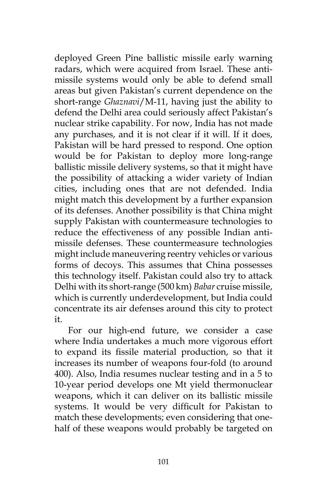deployed Green Pine ballistic missile early warning radars, which were acquired from Israel. These antimissile systems would only be able to defend small areas but given Pakistan's current dependence on the short-range *Ghaznavi*/M-11, having just the ability to defend the Delhi area could seriously affect Pakistan's nuclear strike capability. For now, India has not made any purchases, and it is not clear if it will. If it does, Pakistan will be hard pressed to respond. One option would be for Pakistan to deploy more long-range ballistic missile delivery systems, so that it might have the possibility of attacking a wider variety of Indian cities, including ones that are not defended. India might match this development by a further expansion of its defenses. Another possibility is that China might supply Pakistan with countermeasure technologies to reduce the effectiveness of any possible Indian antimissile defenses. These countermeasure technologies might include maneuvering reentry vehicles or various forms of decoys. This assumes that China possesses this technology itself. Pakistan could also try to attack Delhi with its short-range (500 km) *Babar* cruise missile, which is currently underdevelopment, but India could concentrate its air defenses around this city to protect it.

For our high-end future, we consider a case where India undertakes a much more vigorous effort to expand its fissile material production, so that it increases its number of weapons four-fold (to around 400). Also, India resumes nuclear testing and in a 5 to 10-year period develops one Mt yield thermonuclear weapons, which it can deliver on its ballistic missile systems. It would be very difficult for Pakistan to match these developments; even considering that onehalf of these weapons would probably be targeted on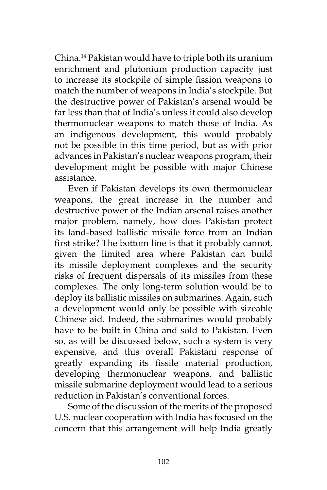China.14 Pakistan would have to triple both its uranium enrichment and plutonium production capacity just to increase its stockpile of simple fission weapons to match the number of weapons in India's stockpile. But the destructive power of Pakistan's arsenal would be far less than that of India's unless it could also develop thermonuclear weapons to match those of India. As an indigenous development, this would probably not be possible in this time period, but as with prior advances in Pakistan's nuclear weapons program, their development might be possible with major Chinese assistance.

Even if Pakistan develops its own thermonuclear weapons, the great increase in the number and destructive power of the Indian arsenal raises another major problem, namely, how does Pakistan protect its land-based ballistic missile force from an Indian first strike? The bottom line is that it probably cannot, given the limited area where Pakistan can build its missile deployment complexes and the security risks of frequent dispersals of its missiles from these complexes. The only long-term solution would be to deploy its ballistic missiles on submarines. Again, such a development would only be possible with sizeable Chinese aid. Indeed, the submarines would probably have to be built in China and sold to Pakistan. Even so, as will be discussed below, such a system is very expensive, and this overall Pakistani response of greatly expanding its fissile material production, developing thermonuclear weapons, and ballistic missile submarine deployment would lead to a serious reduction in Pakistan's conventional forces.

Some of the discussion of the merits of the proposed U.S. nuclear cooperation with India has focused on the concern that this arrangement will help India greatly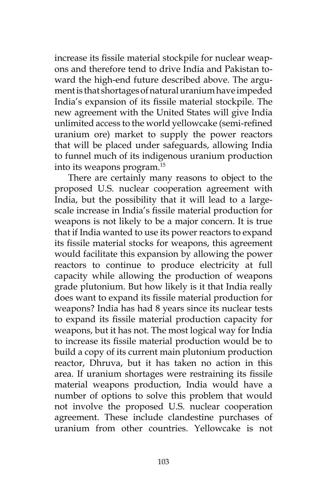increase its fissile material stockpile for nuclear weapons and therefore tend to drive India and Pakistan toward the high-end future described above. The argument is that shortages of natural uranium have impeded India's expansion of its fissile material stockpile. The new agreement with the United States will give India unlimited access to the world yellowcake (semi-refined uranium ore) market to supply the power reactors that will be placed under safeguards, allowing India to funnel much of its indigenous uranium production into its weapons program.15

There are certainly many reasons to object to the proposed U.S. nuclear cooperation agreement with India, but the possibility that it will lead to a largescale increase in India's fissile material production for weapons is not likely to be a major concern. It is true that if India wanted to use its power reactors to expand its fissile material stocks for weapons, this agreement would facilitate this expansion by allowing the power reactors to continue to produce electricity at full capacity while allowing the production of weapons grade plutonium. But how likely is it that India really does want to expand its fissile material production for weapons? India has had 8 years since its nuclear tests to expand its fissile material production capacity for weapons, but it has not. The most logical way for India to increase its fissile material production would be to build a copy of its current main plutonium production reactor, Dhruva, but it has taken no action in this area. If uranium shortages were restraining its fissile material weapons production, India would have a number of options to solve this problem that would not involve the proposed U.S. nuclear cooperation agreement. These include clandestine purchases of uranium from other countries. Yellowcake is not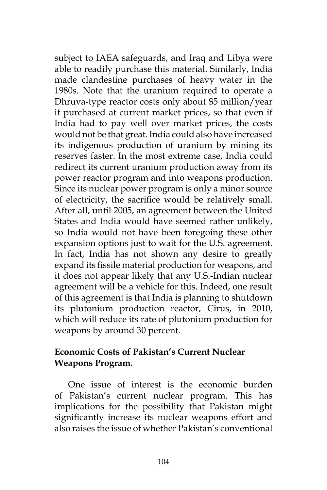subject to IAEA safeguards, and Iraq and Libya were able to readily purchase this material. Similarly, India made clandestine purchases of heavy water in the 1980s. Note that the uranium required to operate a Dhruva-type reactor costs only about \$5 million/year if purchased at current market prices, so that even if India had to pay well over market prices, the costs would not be that great. India could also have increased its indigenous production of uranium by mining its reserves faster. In the most extreme case, India could redirect its current uranium production away from its power reactor program and into weapons production. Since its nuclear power program is only a minor source of electricity, the sacrifice would be relatively small. After all, until 2005, an agreement between the United States and India would have seemed rather unlikely, so India would not have been foregoing these other expansion options just to wait for the U.S. agreement. In fact, India has not shown any desire to greatly expand its fissile material production for weapons, and it does not appear likely that any U.S.-Indian nuclear agreement will be a vehicle for this. Indeed, one result of this agreement is that India is planning to shutdown its plutonium production reactor, Cirus, in 2010, which will reduce its rate of plutonium production for weapons by around 30 percent.

## **Economic Costs of Pakistan's Current Nuclear Weapons Program.**

One issue of interest is the economic burden of Pakistan's current nuclear program. This has implications for the possibility that Pakistan might significantly increase its nuclear weapons effort and also raises the issue of whether Pakistan's conventional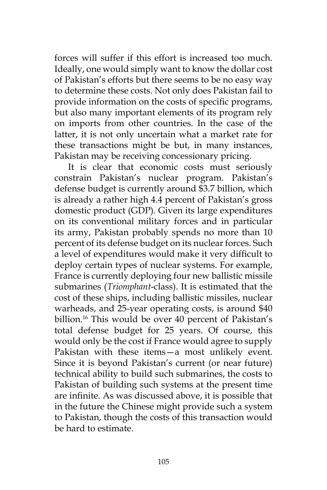forces will suffer if this effort is increased too much. Ideally, one would simply want to know the dollar cost of Pakistan's efforts but there seems to be no easy way to determine these costs. Not only does Pakistan fail to provide information on the costs of specific programs, but also many important elements of its program rely on imports from other countries. In the case of the latter, it is not only uncertain what a market rate for these transactions might be but, in many instances, Pakistan may be receiving concessionary pricing.

It is clear that economic costs must seriously constrain Pakistan's nuclear program. Pakistan's defense budget is currently around \$3.7 billion, which is already a rather high 4.4 percent of Pakistan's gross domestic product (GDP). Given its large expenditures on its conventional military forces and in particular its army, Pakistan probably spends no more than 10 percent of its defense budget on its nuclear forces. Such a level of expenditures would make it very difficult to deploy certain types of nuclear systems. For example, France is currently deploying four new ballistic missile submarines (*Triomphant*-class). It is estimated that the cost of these ships, including ballistic missiles, nuclear warheads, and 25-year operating costs, is around \$40 billion.<sup>16</sup> This would be over 40 percent of Pakistan's total defense budget for 25 years. Of course, this would only be the cost if France would agree to supply Pakistan with these items—a most unlikely event. Since it is beyond Pakistan's current (or near future) technical ability to build such submarines, the costs to Pakistan of building such systems at the present time are infinite. As was discussed above, it is possible that in the future the Chinese might provide such a system to Pakistan, though the costs of this transaction would be hard to estimate.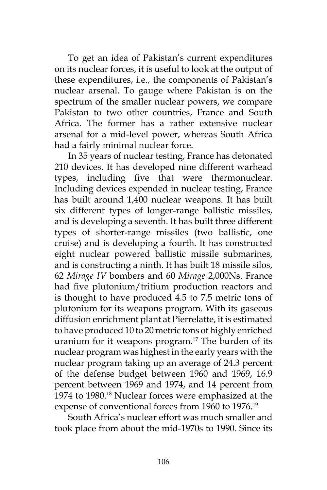To get an idea of Pakistan's current expenditures on its nuclear forces, it is useful to look at the output of these expenditures, i.e., the components of Pakistan's nuclear arsenal. To gauge where Pakistan is on the spectrum of the smaller nuclear powers, we compare Pakistan to two other countries, France and South Africa. The former has a rather extensive nuclear arsenal for a mid-level power, whereas South Africa had a fairly minimal nuclear force.

In 35 years of nuclear testing, France has detonated 210 devices. It has developed nine different warhead types, including five that were thermonuclear. Including devices expended in nuclear testing, France has built around 1,400 nuclear weapons. It has built six different types of longer-range ballistic missiles, and is developing a seventh. It has built three different types of shorter-range missiles (two ballistic, one cruise) and is developing a fourth. It has constructed eight nuclear powered ballistic missile submarines, and is constructing a ninth. It has built 18 missile silos, 62 *Mirage IV* bombers and 60 *Mirage* 2,000Ns. France had five plutonium/tritium production reactors and is thought to have produced 4.5 to 7.5 metric tons of plutonium for its weapons program. With its gaseous diffusion enrichment plant at Pierrelatte, it is estimated to have produced 10 to 20 metric tons of highly enriched uranium for it weapons program.17 The burden of its nuclear program was highest in the early years with the nuclear program taking up an average of 24.3 percent of the defense budget between 1960 and 1969, 16.9 percent between 1969 and 1974, and 14 percent from 1974 to 1980.<sup>18</sup> Nuclear forces were emphasized at the expense of conventional forces from 1960 to 1976.<sup>19</sup>

South Africa's nuclear effort was much smaller and took place from about the mid-1970s to 1990. Since its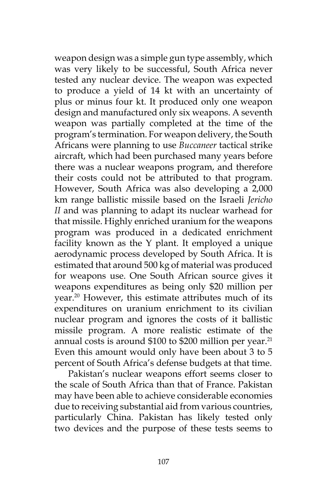weapon design was a simple gun type assembly, which was very likely to be successful, South Africa never tested any nuclear device. The weapon was expected to produce a yield of 14 kt with an uncertainty of plus or minus four kt. It produced only one weapon design and manufactured only six weapons. A seventh weapon was partially completed at the time of the program's termination. For weapon delivery, the South Africans were planning to use *Buccaneer* tactical strike aircraft, which had been purchased many years before there was a nuclear weapons program, and therefore their costs could not be attributed to that program. However, South Africa was also developing a 2,000 km range ballistic missile based on the Israeli *Jericho II* and was planning to adapt its nuclear warhead for that missile. Highly enriched uranium for the weapons program was produced in a dedicated enrichment facility known as the Y plant. It employed a unique aerodynamic process developed by South Africa. It is estimated that around 500 kg of material was produced for weapons use. One South African source gives it weapons expenditures as being only \$20 million per year.<sup>20</sup> However, this estimate attributes much of its expenditures on uranium enrichment to its civilian nuclear program and ignores the costs of it ballistic missile program. A more realistic estimate of the annual costs is around  $$100$  to  $$200$  million per year.<sup>21</sup> Even this amount would only have been about 3 to 5 percent of South Africa's defense budgets at that time.

Pakistan's nuclear weapons effort seems closer to the scale of South Africa than that of France. Pakistan may have been able to achieve considerable economies due to receiving substantial aid from various countries, particularly China. Pakistan has likely tested only two devices and the purpose of these tests seems to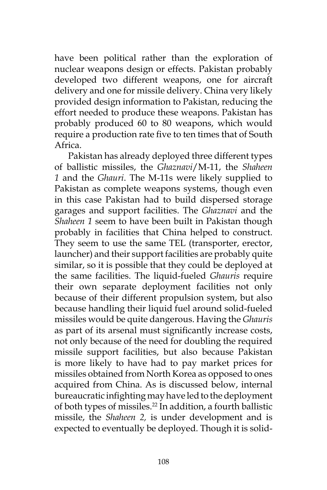have been political rather than the exploration of nuclear weapons design or effects. Pakistan probably developed two different weapons, one for aircraft delivery and one for missile delivery. China very likely provided design information to Pakistan, reducing the effort needed to produce these weapons. Pakistan has probably produced 60 to 80 weapons, which would require a production rate five to ten times that of South Africa.

Pakistan has already deployed three different types of ballistic missiles, the *Ghaznavi*/M-11, the *Shaheen 1* and the *Ghauri*. The M-11s were likely supplied to Pakistan as complete weapons systems, though even in this case Pakistan had to build dispersed storage garages and support facilities. The *Ghaznavi* and the *Shaheen 1* seem to have been built in Pakistan though probably in facilities that China helped to construct. They seem to use the same TEL (transporter, erector, launcher) and their support facilities are probably quite similar, so it is possible that they could be deployed at the same facilities. The liquid-fueled *Ghauris* require their own separate deployment facilities not only because of their different propulsion system, but also because handling their liquid fuel around solid-fueled missiles would be quite dangerous. Having the *Ghauris* as part of its arsenal must significantly increase costs, not only because of the need for doubling the required missile support facilities, but also because Pakistan is more likely to have had to pay market prices for missiles obtained from North Korea as opposed to ones acquired from China. As is discussed below, internal bureaucratic infighting may have led to the deployment of both types of missiles.22 In addition, a fourth ballistic missile, the *Shaheen 2,* is under development and is expected to eventually be deployed. Though it is solid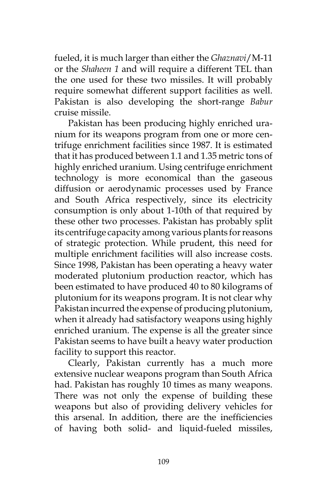fueled, it is much larger than either the *Ghaznavi*/M-11 or the *Shaheen 1* and will require a different TEL than the one used for these two missiles. It will probably require somewhat different support facilities as well. Pakistan is also developing the short-range *Babur* cruise missile.

Pakistan has been producing highly enriched uranium for its weapons program from one or more centrifuge enrichment facilities since 1987. It is estimated that it has produced between 1.1 and 1.35 metric tons of highly enriched uranium. Using centrifuge enrichment technology is more economical than the gaseous diffusion or aerodynamic processes used by France and South Africa respectively, since its electricity consumption is only about 1-10th of that required by these other two processes. Pakistan has probably split its centrifuge capacity among various plants for reasons of strategic protection. While prudent, this need for multiple enrichment facilities will also increase costs. Since 1998, Pakistan has been operating a heavy water moderated plutonium production reactor, which has been estimated to have produced 40 to 80 kilograms of plutonium for its weapons program. It is not clear why Pakistan incurred the expense of producing plutonium, when it already had satisfactory weapons using highly enriched uranium. The expense is all the greater since Pakistan seems to have built a heavy water production facility to support this reactor.

Clearly, Pakistan currently has a much more extensive nuclear weapons program than South Africa had. Pakistan has roughly 10 times as many weapons. There was not only the expense of building these weapons but also of providing delivery vehicles for this arsenal. In addition, there are the inefficiencies of having both solid- and liquid-fueled missiles,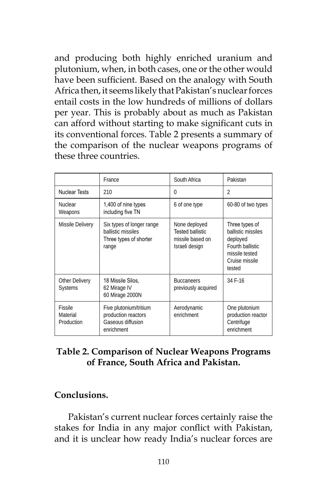and producing both highly enriched uranium and plutonium, when, in both cases, one or the other would have been sufficient. Based on the analogy with South Africa then, it seems likely that Pakistan's nuclear forces entail costs in the low hundreds of millions of dollars per year. This is probably about as much as Pakistan can afford without starting to make significant cuts in its conventional forces. Table 2 presents a summary of the comparison of the nuclear weapons programs of these three countries.

|                                   | France                                                                             | South Africa                                                                   | Pakistan                                                                                                           |
|-----------------------------------|------------------------------------------------------------------------------------|--------------------------------------------------------------------------------|--------------------------------------------------------------------------------------------------------------------|
| <b>Nuclear Tests</b>              | 210                                                                                | $\Omega$                                                                       | $\overline{\mathcal{L}}$                                                                                           |
| <b>Nuclear</b><br>Weapons         | 1,400 of nine types<br>including five TN                                           | 6 of one type                                                                  | 60-80 of two types                                                                                                 |
| Missile Delivery                  | Six types of longer range<br>ballistic missiles<br>Three types of shorter<br>range | None deployed<br><b>Tested ballistic</b><br>missile based on<br>Israeli design | Three types of<br>ballistic missiles<br>deployed<br>Fourth ballistic<br>missile tested<br>Cruise missile<br>tested |
| Other Delivery<br><b>Systems</b>  | 18 Missile Silos.<br>62 Mirage IV<br>60 Mirage 2000N                               | <b>Buccaneers</b><br>previously acquired                                       | 34 F-16                                                                                                            |
| Fissile<br>Material<br>Production | Five plutonium/tritium<br>production reactors<br>Gaseous diffusion<br>enrichment   | Aerodynamic<br>enrichment                                                      | One plutonium<br>production reactor<br>Centrifuge<br>enrichment                                                    |

# **Table 2. Comparison of Nuclear Weapons Programs of France, South Africa and Pakistan.**

# **Conclusions.**

Pakistan's current nuclear forces certainly raise the stakes for India in any major conflict with Pakistan, and it is unclear how ready India's nuclear forces are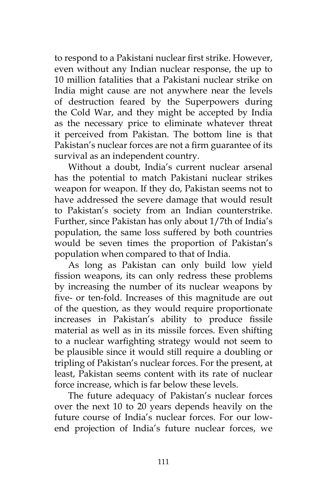to respond to a Pakistani nuclear first strike. However, even without any Indian nuclear response, the up to 10 million fatalities that a Pakistani nuclear strike on India might cause are not anywhere near the levels of destruction feared by the Superpowers during the Cold War, and they might be accepted by India as the necessary price to eliminate whatever threat it perceived from Pakistan. The bottom line is that Pakistan's nuclear forces are not a firm guarantee of its survival as an independent country.

Without a doubt, India's current nuclear arsenal has the potential to match Pakistani nuclear strikes weapon for weapon. If they do, Pakistan seems not to have addressed the severe damage that would result to Pakistan's society from an Indian counterstrike. Further, since Pakistan has only about 1/7th of India's population, the same loss suffered by both countries would be seven times the proportion of Pakistan's population when compared to that of India.

As long as Pakistan can only build low yield fission weapons, its can only redress these problems by increasing the number of its nuclear weapons by five- or ten-fold. Increases of this magnitude are out of the question, as they would require proportionate increases in Pakistan's ability to produce fissile material as well as in its missile forces. Even shifting to a nuclear warfighting strategy would not seem to be plausible since it would still require a doubling or tripling of Pakistan's nuclear forces. For the present, at least, Pakistan seems content with its rate of nuclear force increase, which is far below these levels.

The future adequacy of Pakistan's nuclear forces over the next 10 to 20 years depends heavily on the future course of India's nuclear forces. For our lowend projection of India's future nuclear forces, we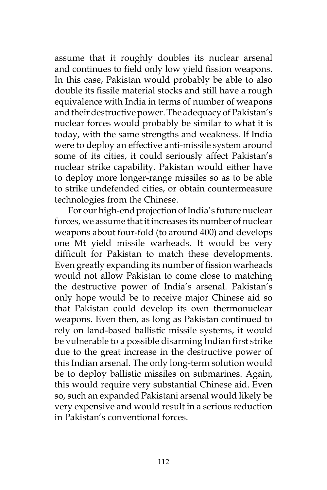assume that it roughly doubles its nuclear arsenal and continues to field only low yield fission weapons. In this case, Pakistan would probably be able to also double its fissile material stocks and still have a rough equivalence with India in terms of number of weapons and their destructive power. The adequacy of Pakistan's nuclear forces would probably be similar to what it is today, with the same strengths and weakness. If India were to deploy an effective anti-missile system around some of its cities, it could seriously affect Pakistan's nuclear strike capability. Pakistan would either have to deploy more longer-range missiles so as to be able to strike undefended cities, or obtain countermeasure technologies from the Chinese.

For our high-end projection of India's future nuclear forces, we assume that it increases its number of nuclear weapons about four-fold (to around 400) and develops one Mt yield missile warheads. It would be very difficult for Pakistan to match these developments. Even greatly expanding its number of fission warheads would not allow Pakistan to come close to matching the destructive power of India's arsenal. Pakistan's only hope would be to receive major Chinese aid so that Pakistan could develop its own thermonuclear weapons. Even then, as long as Pakistan continued to rely on land-based ballistic missile systems, it would be vulnerable to a possible disarming Indian first strike due to the great increase in the destructive power of this Indian arsenal. The only long-term solution would be to deploy ballistic missiles on submarines. Again, this would require very substantial Chinese aid. Even so, such an expanded Pakistani arsenal would likely be very expensive and would result in a serious reduction in Pakistan's conventional forces.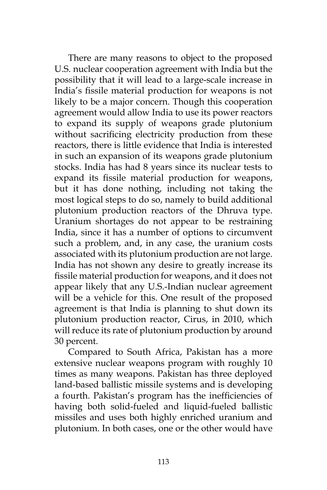There are many reasons to object to the proposed U.S. nuclear cooperation agreement with India but the possibility that it will lead to a large-scale increase in India's fissile material production for weapons is not likely to be a major concern. Though this cooperation agreement would allow India to use its power reactors to expand its supply of weapons grade plutonium without sacrificing electricity production from these reactors, there is little evidence that India is interested in such an expansion of its weapons grade plutonium stocks. India has had 8 years since its nuclear tests to expand its fissile material production for weapons, but it has done nothing, including not taking the most logical steps to do so, namely to build additional plutonium production reactors of the Dhruva type. Uranium shortages do not appear to be restraining India, since it has a number of options to circumvent such a problem, and, in any case, the uranium costs associated with its plutonium production are not large. India has not shown any desire to greatly increase its fissile material production for weapons, and it does not appear likely that any U.S.-Indian nuclear agreement will be a vehicle for this. One result of the proposed agreement is that India is planning to shut down its plutonium production reactor, Cirus, in 2010, which will reduce its rate of plutonium production by around 30 percent.

Compared to South Africa, Pakistan has a more extensive nuclear weapons program with roughly 10 times as many weapons. Pakistan has three deployed land-based ballistic missile systems and is developing a fourth. Pakistan's program has the inefficiencies of having both solid-fueled and liquid-fueled ballistic missiles and uses both highly enriched uranium and plutonium. In both cases, one or the other would have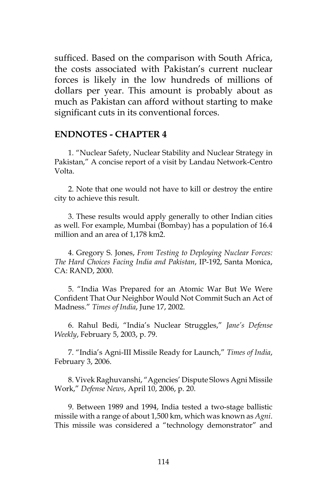sufficed. Based on the comparison with South Africa, the costs associated with Pakistan's current nuclear forces is likely in the low hundreds of millions of dollars per year. This amount is probably about as much as Pakistan can afford without starting to make significant cuts in its conventional forces.

#### **ENDNOTES - CHAPTER 4**

1. "Nuclear Safety, Nuclear Stability and Nuclear Strategy in Pakistan," A concise report of a visit by Landau Network-Centro Volta.

2. Note that one would not have to kill or destroy the entire city to achieve this result.

3. These results would apply generally to other Indian cities as well. For example, Mumbai (Bombay) has a population of 16.4 million and an area of 1,178 km2.

4. Gregory S. Jones, *From Testing to Deploying Nuclear Forces: The Hard Choices Facing India and Pakistan*, IP-192, Santa Monica, CA: RAND, 2000.

5. "India Was Prepared for an Atomic War But We Were Confident That Our Neighbor Would Not Commit Such an Act of Madness." *Times of India*, June 17, 2002.

6. Rahul Bedi, "India's Nuclear Struggles," *Jane's Defense Weekly*, February 5, 2003, p. 79.

7. "India's Agni-III Missile Ready for Launch," *Times of India*, February 3, 2006.

8. Vivek Raghuvanshi, "Agencies' Dispute Slows Agni Missile Work," *Defense News*, April 10, 2006, p. 20.

9. Between 1989 and 1994, India tested a two-stage ballistic missile with a range of about 1,500 km, which was known as *Agni*. This missile was considered a "technology demonstrator" and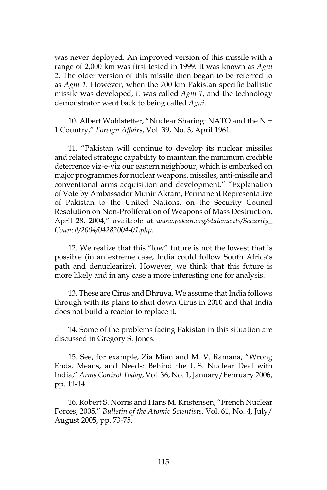was never deployed. An improved version of this missile with a range of 2,000 km was first tested in 1999. It was known as *Agni 2*. The older version of this missile then began to be referred to as *Agni 1*. However, when the 700 km Pakistan specific ballistic missile was developed, it was called *Agni 1*, and the technology demonstrator went back to being called *Agni*.

10. Albert Wohlstetter, "Nuclear Sharing: NATO and the N + 1 Country," *Foreign Affairs*, Vol. 39, No. 3, April 1961.

11. "Pakistan will continue to develop its nuclear missiles and related strategic capability to maintain the minimum credible deterrence viz-e-viz our eastern neighbour, which is embarked on major programmes for nuclear weapons, missiles, anti-missile and conventional arms acquisition and development." "Explanation of Vote by Ambassador Munir Akram, Permanent Representative of Pakistan to the United Nations, on the Security Council Resolution on Non-Proliferation of Weapons of Mass Destruction, April 28, 2004," available at *www.pakun.org/statements/Security\_ Council/2004/04282004-01.php*.

12. We realize that this "low" future is not the lowest that is possible (in an extreme case, India could follow South Africa's path and denuclearize). However, we think that this future is more likely and in any case a more interesting one for analysis.

13. These are Cirus and Dhruva. We assume that India follows through with its plans to shut down Cirus in 2010 and that India does not build a reactor to replace it.

14. Some of the problems facing Pakistan in this situation are discussed in Gregory S. Jones.

15. See, for example, Zia Mian and M. V. Ramana, "Wrong Ends, Means, and Needs: Behind the U.S. Nuclear Deal with India," *Arms Control Today*, Vol. 36, No. 1, January/February 2006, pp. 11-14.

16. Robert S. Norris and Hans M. Kristensen, "French Nuclear Forces, 2005," *Bulletin of the Atomic Scientists*, Vol. 61, No. 4, July/ August 2005, pp. 73-75.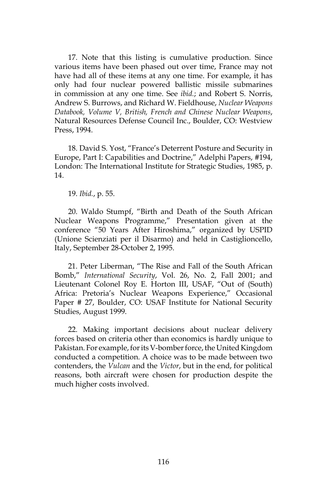17. Note that this listing is cumulative production. Since various items have been phased out over time, France may not have had all of these items at any one time. For example, it has only had four nuclear powered ballistic missile submarines in commission at any one time. See *ibid.*; and Robert S. Norris, Andrew S. Burrows, and Richard W. Fieldhouse, *Nuclear Weapons Databook, Volume V, British, French and Chinese Nuclear Weapons*, Natural Resources Defense Council Inc., Boulder, CO: Westview Press, 1994.

18. David S. Yost, "France's Deterrent Posture and Security in Europe, Part I: Capabilities and Doctrine," Adelphi Papers, #194, London: The International Institute for Strategic Studies, 1985, p. 14.

19. *Ibid.*, p. 55.

20. Waldo Stumpf, "Birth and Death of the South African Nuclear Weapons Programme," Presentation given at the conference "50 Years After Hiroshima," organized by USPID (Unione Scienziati per il Disarmo) and held in Castiglioncello, Italy, September 28-October 2, 1995.

21. Peter Liberman, "The Rise and Fall of the South African Bomb," *International Security*, Vol. 26, No. 2, Fall 2001; and Lieutenant Colonel Roy E. Horton III, USAF, "Out of (South) Africa: Pretoria's Nuclear Weapons Experience," Occasional Paper # 27, Boulder, CO: USAF Institute for National Security Studies, August 1999.

22. Making important decisions about nuclear delivery forces based on criteria other than economics is hardly unique to Pakistan. For example, for its V-bomber force, the United Kingdom conducted a competition. A choice was to be made between two contenders, the *Vulcan* and the *Victor*, but in the end, for political reasons, both aircraft were chosen for production despite the much higher costs involved.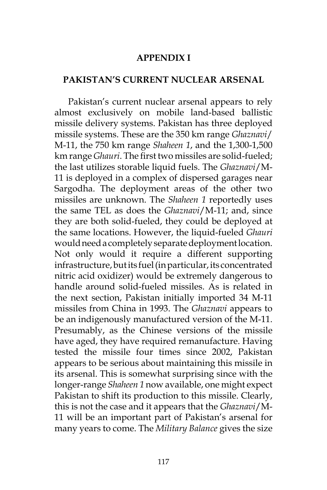### **APPENDIX I**

### **PAKISTAN'S CURRENT NUCLEAR ARSENAL**

Pakistan's current nuclear arsenal appears to rely almost exclusively on mobile land-based ballistic missile delivery systems. Pakistan has three deployed missile systems. These are the 350 km range *Ghaznavi*/ M-11, the 750 km range *Shaheen 1*, and the 1,300-1,500 km range *Ghauri*. The first two missiles are solid-fueled; the last utilizes storable liquid fuels. The *Ghaznavi*/M-11 is deployed in a complex of dispersed garages near Sargodha. The deployment areas of the other two missiles are unknown. The *Shaheen 1* reportedly uses the same TEL as does the *Ghaznavi*/M-11; and, since they are both solid-fueled, they could be deployed at the same locations. However, the liquid-fueled *Ghauri* would need a completely separate deployment location. Not only would it require a different supporting infrastructure, but its fuel (in particular, its concentrated nitric acid oxidizer) would be extremely dangerous to handle around solid-fueled missiles. As is related in the next section, Pakistan initially imported 34 M-11 missiles from China in 1993. The *Ghaznavi* appears to be an indigenously manufactured version of the M-11. Presumably, as the Chinese versions of the missile have aged, they have required remanufacture. Having tested the missile four times since 2002, Pakistan appears to be serious about maintaining this missile in its arsenal. This is somewhat surprising since with the longer-range *Shaheen 1* now available, one might expect Pakistan to shift its production to this missile. Clearly, this is not the case and it appears that the *Ghaznavi*/M-11 will be an important part of Pakistan's arsenal for many years to come. The *Military Balance* gives the size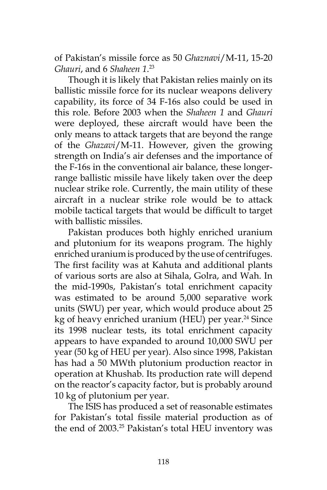of Pakistan's missile force as 50 *Ghaznavi*/M-11, 15-20 *Ghauri*, and 6 *Shaheen 1*. 23

Though it is likely that Pakistan relies mainly on its ballistic missile force for its nuclear weapons delivery capability, its force of 34 F-16s also could be used in this role. Before 2003 when the *Shaheen 1* and *Ghauri* were deployed, these aircraft would have been the only means to attack targets that are beyond the range of the *Ghazavi*/M-11. However, given the growing strength on India's air defenses and the importance of the F-16s in the conventional air balance, these longerrange ballistic missile have likely taken over the deep nuclear strike role. Currently, the main utility of these aircraft in a nuclear strike role would be to attack mobile tactical targets that would be difficult to target with ballistic missiles.

Pakistan produces both highly enriched uranium and plutonium for its weapons program. The highly enriched uranium is produced by the use of centrifuges. The first facility was at Kahuta and additional plants of various sorts are also at Sihala, Golra, and Wah. In the mid-1990s, Pakistan's total enrichment capacity was estimated to be around 5,000 separative work units (SWU) per year, which would produce about 25 kg of heavy enriched uranium (HEU) per year.<sup>24</sup> Since its 1998 nuclear tests, its total enrichment capacity appears to have expanded to around 10,000 SWU per year (50 kg of HEU per year). Also since 1998, Pakistan has had a 50 MWth plutonium production reactor in operation at Khushab. Its production rate will depend on the reactor's capacity factor, but is probably around 10 kg of plutonium per year.

The ISIS has produced a set of reasonable estimates for Pakistan's total fissile material production as of the end of 2003.<sup>25</sup> Pakistan's total HEU inventory was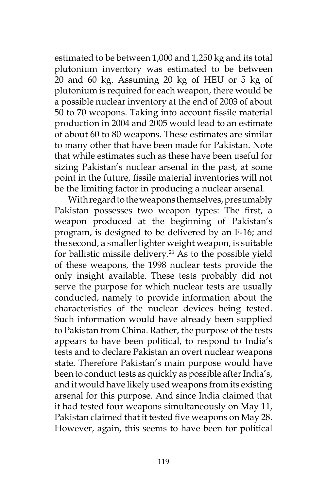estimated to be between 1,000 and 1,250 kg and its total plutonium inventory was estimated to be between 20 and 60 kg. Assuming 20 kg of HEU or 5 kg of plutonium is required for each weapon, there would be a possible nuclear inventory at the end of 2003 of about 50 to 70 weapons. Taking into account fissile material production in 2004 and 2005 would lead to an estimate of about 60 to 80 weapons. These estimates are similar to many other that have been made for Pakistan. Note that while estimates such as these have been useful for sizing Pakistan's nuclear arsenal in the past, at some point in the future, fissile material inventories will not be the limiting factor in producing a nuclear arsenal.

With regard to the weapons themselves, presumably Pakistan possesses two weapon types: The first, a weapon produced at the beginning of Pakistan's program, is designed to be delivered by an F-16; and the second, a smaller lighter weight weapon, is suitable for ballistic missile delivery.<sup>26</sup> As to the possible yield of these weapons, the 1998 nuclear tests provide the only insight available. These tests probably did not serve the purpose for which nuclear tests are usually conducted, namely to provide information about the characteristics of the nuclear devices being tested. Such information would have already been supplied to Pakistan from China. Rather, the purpose of the tests appears to have been political, to respond to India's tests and to declare Pakistan an overt nuclear weapons state. Therefore Pakistan's main purpose would have been to conduct tests as quickly as possible after India's, and it would have likely used weapons from its existing arsenal for this purpose. And since India claimed that it had tested four weapons simultaneously on May 11, Pakistan claimed that it tested five weapons on May 28. However, again, this seems to have been for political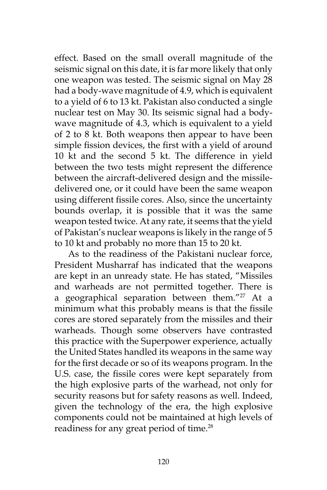effect. Based on the small overall magnitude of the seismic signal on this date, it is far more likely that only one weapon was tested. The seismic signal on May 28 had a body-wave magnitude of 4.9, which is equivalent to a yield of 6 to 13 kt. Pakistan also conducted a single nuclear test on May 30. Its seismic signal had a bodywave magnitude of 4.3, which is equivalent to a yield of 2 to 8 kt. Both weapons then appear to have been simple fission devices, the first with a yield of around 10 kt and the second 5 kt. The difference in yield between the two tests might represent the difference between the aircraft-delivered design and the missiledelivered one, or it could have been the same weapon using different fissile cores. Also, since the uncertainty bounds overlap, it is possible that it was the same weapon tested twice. At any rate, it seems that the yield of Pakistan's nuclear weapons is likely in the range of 5 to 10 kt and probably no more than 15 to 20 kt.

As to the readiness of the Pakistani nuclear force, President Musharraf has indicated that the weapons are kept in an unready state. He has stated, "Missiles and warheads are not permitted together. There is a geographical separation between them." $27$  At a minimum what this probably means is that the fissile cores are stored separately from the missiles and their warheads. Though some observers have contrasted this practice with the Superpower experience, actually the United States handled its weapons in the same way for the first decade or so of its weapons program. In the U.S. case, the fissile cores were kept separately from the high explosive parts of the warhead, not only for security reasons but for safety reasons as well. Indeed, given the technology of the era, the high explosive components could not be maintained at high levels of readiness for any great period of time.<sup>28</sup>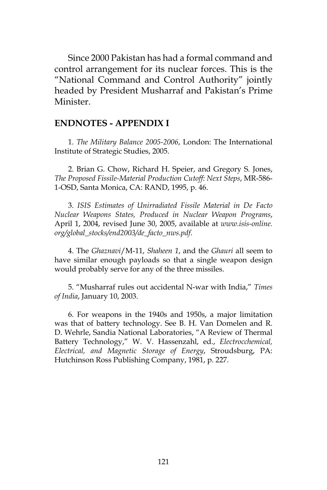Since 2000 Pakistan has had a formal command and control arrangement for its nuclear forces. This is the "National Command and Control Authority" jointly headed by President Musharraf and Pakistan's Prime Minister.

### **ENDNOTES - APPENDIX I**

1. *The Military Balance 2005-2006*, London: The International Institute of Strategic Studies, 2005.

2. Brian G. Chow, Richard H. Speier, and Gregory S. Jones, *The Proposed Fissile-Material Production Cutoff: Next Steps*, MR-586- 1-OSD, Santa Monica, CA: RAND, 1995, p. 46.

3. *ISIS Estimates of Unirradiated Fissile Material in De Facto Nuclear Weapons States, Produced in Nuclear Weapon Programs*, April 1, 2004, revised June 30, 2005, available at *www.isis-online. org/global\_stocks/end2003/de\_facto\_nws.pdf*.

4. The *Ghaznavi*/M-11, *Shaheen 1*, and the *Ghauri* all seem to have similar enough payloads so that a single weapon design would probably serve for any of the three missiles.

5. "Musharraf rules out accidental N-war with India," *Times of India*, January 10, 2003.

6. For weapons in the 1940s and 1950s, a major limitation was that of battery technology. See B. H. Van Domelen and R. D. Wehrle, Sandia National Laboratories, "A Review of Thermal Battery Technology," W. V. Hassenzahl, ed., *Electrocchemical, Electrical, and Magnetic Storage of Energy*, Stroudsburg, PA: Hutchinson Ross Publishing Company, 1981, p. 227.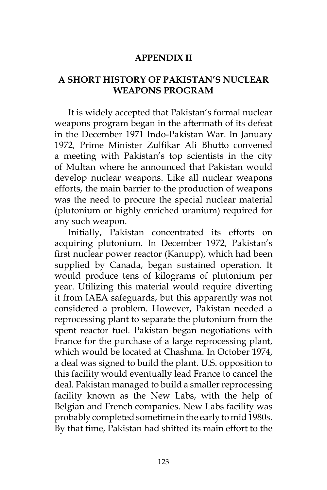### **APPENDIX II**

## **A SHORT HISTORY OF PAKISTAN'S NUCLEAR WEAPONS PROGRAM**

It is widely accepted that Pakistan's formal nuclear weapons program began in the aftermath of its defeat in the December 1971 Indo-Pakistan War. In January 1972, Prime Minister Zulfikar Ali Bhutto convened a meeting with Pakistan's top scientists in the city of Multan where he announced that Pakistan would develop nuclear weapons. Like all nuclear weapons efforts, the main barrier to the production of weapons was the need to procure the special nuclear material (plutonium or highly enriched uranium) required for any such weapon.

Initially, Pakistan concentrated its efforts on acquiring plutonium. In December 1972, Pakistan's first nuclear power reactor (Kanupp), which had been supplied by Canada, began sustained operation. It would produce tens of kilograms of plutonium per year. Utilizing this material would require diverting it from IAEA safeguards, but this apparently was not considered a problem. However, Pakistan needed a reprocessing plant to separate the plutonium from the spent reactor fuel. Pakistan began negotiations with France for the purchase of a large reprocessing plant, which would be located at Chashma. In October 1974, a deal was signed to build the plant. U.S. opposition to this facility would eventually lead France to cancel the deal. Pakistan managed to build a smaller reprocessing facility known as the New Labs, with the help of Belgian and French companies. New Labs facility was probably completed sometime in the early to mid 1980s. By that time, Pakistan had shifted its main effort to the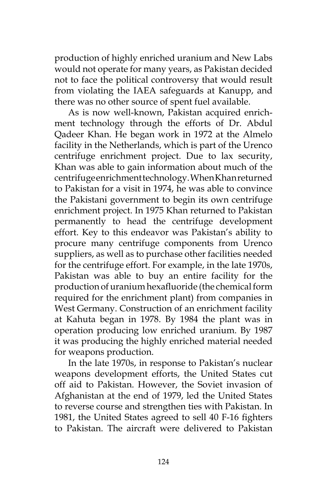production of highly enriched uranium and New Labs would not operate for many years, as Pakistan decided not to face the political controversy that would result from violating the IAEA safeguards at Kanupp, and there was no other source of spent fuel available.

As is now well-known, Pakistan acquired enrichment technology through the efforts of Dr. Abdul Qadeer Khan. He began work in 1972 at the Almelo facility in the Netherlands, which is part of the Urenco centrifuge enrichment project. Due to lax security, Khan was able to gain information about much of the centrifuge enrichment technology. When Khan returned to Pakistan for a visit in 1974, he was able to convince the Pakistani government to begin its own centrifuge enrichment project. In 1975 Khan returned to Pakistan permanently to head the centrifuge development effort. Key to this endeavor was Pakistan's ability to procure many centrifuge components from Urenco suppliers, as well as to purchase other facilities needed for the centrifuge effort. For example, in the late 1970s, Pakistan was able to buy an entire facility for the production of uranium hexafluoride (the chemical form required for the enrichment plant) from companies in West Germany. Construction of an enrichment facility at Kahuta began in 1978. By 1984 the plant was in operation producing low enriched uranium. By 1987 it was producing the highly enriched material needed for weapons production.

In the late 1970s, in response to Pakistan's nuclear weapons development efforts, the United States cut off aid to Pakistan. However, the Soviet invasion of Afghanistan at the end of 1979, led the United States to reverse course and strengthen ties with Pakistan. In 1981, the United States agreed to sell 40 F-16 fighters to Pakistan. The aircraft were delivered to Pakistan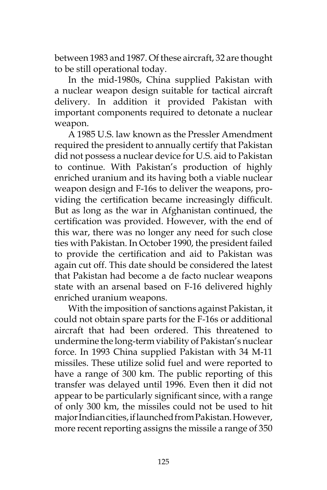between 1983 and 1987. Of these aircraft, 32 are thought to be still operational today.

In the mid-1980s, China supplied Pakistan with a nuclear weapon design suitable for tactical aircraft delivery. In addition it provided Pakistan with important components required to detonate a nuclear weapon.

A 1985 U.S. law known as the Pressler Amendment required the president to annually certify that Pakistan did not possess a nuclear device for U.S. aid to Pakistan to continue. With Pakistan's production of highly enriched uranium and its having both a viable nuclear weapon design and F-16s to deliver the weapons, providing the certification became increasingly difficult. But as long as the war in Afghanistan continued, the certification was provided. However, with the end of this war, there was no longer any need for such close ties with Pakistan. In October 1990, the president failed to provide the certification and aid to Pakistan was again cut off. This date should be considered the latest that Pakistan had become a de facto nuclear weapons state with an arsenal based on F-16 delivered highly enriched uranium weapons.

With the imposition of sanctions against Pakistan, it could not obtain spare parts for the F-16s or additional aircraft that had been ordered. This threatened to undermine the long-term viability of Pakistan's nuclear force. In 1993 China supplied Pakistan with 34 M-11 missiles. These utilize solid fuel and were reported to have a range of 300 km. The public reporting of this transfer was delayed until 1996. Even then it did not appear to be particularly significant since, with a range of only 300 km, the missiles could not be used to hit major Indian cities, if launched from Pakistan. However, more recent reporting assigns the missile a range of 350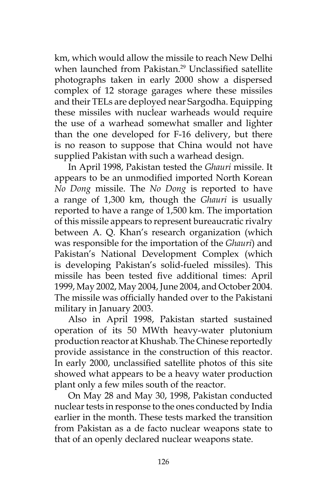km, which would allow the missile to reach New Delhi when launched from Pakistan.<sup>29</sup> Unclassified satellite photographs taken in early 2000 show a dispersed complex of 12 storage garages where these missiles and their TELs are deployed near Sargodha. Equipping these missiles with nuclear warheads would require the use of a warhead somewhat smaller and lighter than the one developed for F-16 delivery, but there is no reason to suppose that China would not have supplied Pakistan with such a warhead design.

In April 1998, Pakistan tested the *Ghauri* missile. It appears to be an unmodified imported North Korean *No Dong* missile. The *No Dong* is reported to have a range of 1,300 km, though the *Ghauri* is usually reported to have a range of 1,500 km. The importation of this missile appears to represent bureaucratic rivalry between A. Q. Khan's research organization (which was responsible for the importation of the *Ghauri*) and Pakistan's National Development Complex (which is developing Pakistan's solid-fueled missiles). This missile has been tested five additional times: April 1999, May 2002, May 2004, June 2004, and October 2004. The missile was officially handed over to the Pakistani military in January 2003.

Also in April 1998, Pakistan started sustained operation of its 50 MWth heavy-water plutonium production reactor at Khushab. The Chinese reportedly provide assistance in the construction of this reactor. In early 2000, unclassified satellite photos of this site showed what appears to be a heavy water production plant only a few miles south of the reactor.

On May 28 and May 30, 1998, Pakistan conducted nuclear tests in response to the ones conducted by India earlier in the month. These tests marked the transition from Pakistan as a de facto nuclear weapons state to that of an openly declared nuclear weapons state.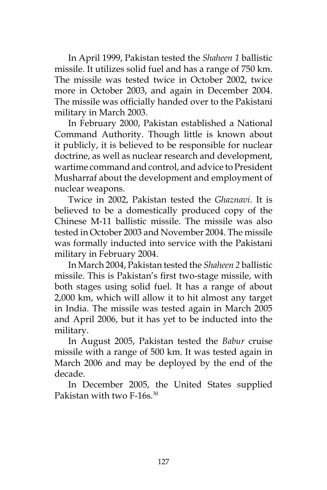In April 1999, Pakistan tested the *Shaheen 1* ballistic missile. It utilizes solid fuel and has a range of 750 km. The missile was tested twice in October 2002, twice more in October 2003, and again in December 2004. The missile was officially handed over to the Pakistani military in March 2003.

In February 2000, Pakistan established a National Command Authority. Though little is known about it publicly, it is believed to be responsible for nuclear doctrine, as well as nuclear research and development, wartime command and control, and advice to President Musharraf about the development and employment of nuclear weapons.

Twice in 2002, Pakistan tested the *Ghaznavi*. It is believed to be a domestically produced copy of the Chinese M-11 ballistic missile. The missile was also tested in October 2003 and November 2004. The missile was formally inducted into service with the Pakistani military in February 2004.

In March 2004, Pakistan tested the *Shaheen 2* ballistic missile. This is Pakistan's first two-stage missile, with both stages using solid fuel. It has a range of about 2,000 km, which will allow it to hit almost any target in India. The missile was tested again in March 2005 and April 2006, but it has yet to be inducted into the military.

In August 2005, Pakistan tested the *Babur* cruise missile with a range of 500 km. It was tested again in March 2006 and may be deployed by the end of the decade.

In December 2005, the United States supplied Pakistan with two F-16s.<sup>30</sup>